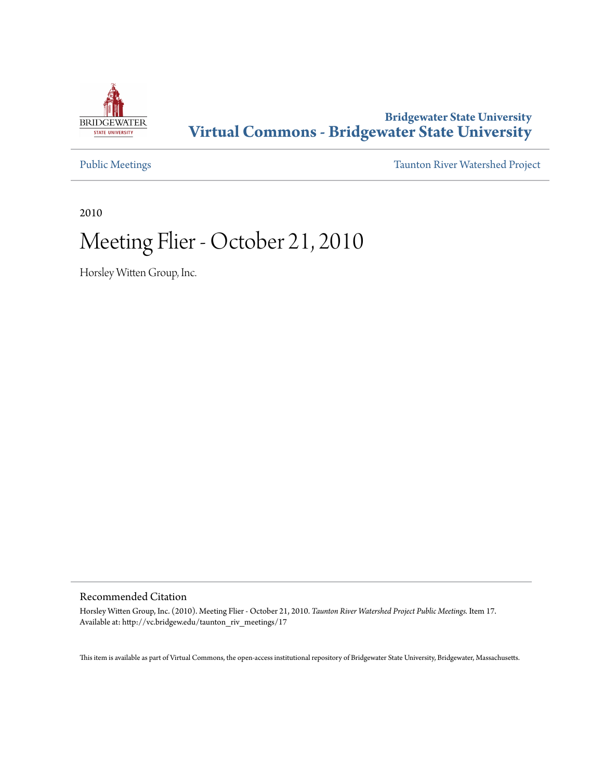

#### **Bridgewater State University [Virtual Commons - Bridgewater State University](http://vc.bridgew.edu)**

[Public Meetings](http://vc.bridgew.edu/taunton_riv_meetings) [Taunton River Watershed Project](http://vc.bridgew.edu/taunton_riv)

2010

## Meeting Flier - October 21, 2010

Horsley Witten Group, Inc.

#### Recommended Citation

Horsley Witten Group, Inc. (2010). Meeting Flier - October 21, 2010. *Taunton River Watershed Project Public Meetings.* Item 17. Available at: http://vc.bridgew.edu/taunton\_riv\_meetings/17

This item is available as part of Virtual Commons, the open-access institutional repository of Bridgewater State University, Bridgewater, Massachusetts.